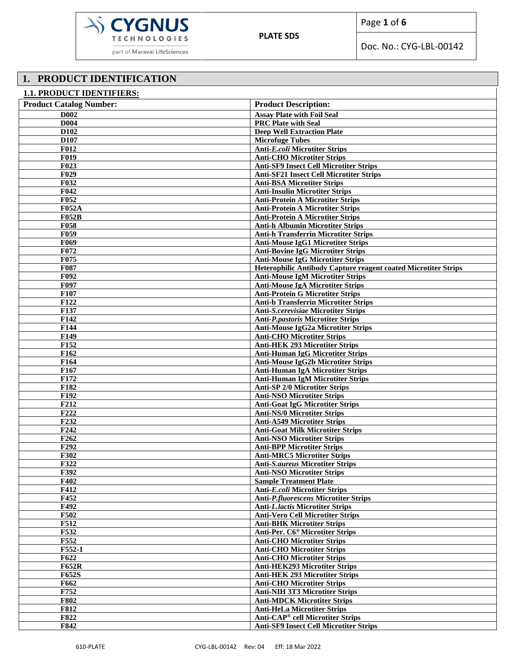

Doc. No.: CYG-LBL-00142

# **1. PRODUCT IDENTIFICATION**

| <b>1.1. PRODUCT IDENTIFIERS:</b> |                                                                                    |
|----------------------------------|------------------------------------------------------------------------------------|
| <b>Product Catalog Number:</b>   | <b>Product Description:</b>                                                        |
| <b>D002</b>                      | <b>Assay Plate with Foil Seal</b>                                                  |
| <b>D004</b>                      | <b>PRC Plate with Seal</b>                                                         |
| D <sub>102</sub>                 | <b>Deep Well Extraction Plate</b>                                                  |
| D <sub>107</sub>                 | <b>Microfuge Tubes</b>                                                             |
| <b>F012</b>                      | <b>Anti-E.coli Microtiter Strips</b>                                               |
| <b>F019</b>                      | <b>Anti-CHO Microtiter Strips</b>                                                  |
| <b>F023</b>                      | <b>Anti-SF9 Insect Cell Microtiter Strips</b>                                      |
| F <sub>029</sub>                 | <b>Anti-SF21 Insect Cell Microtiter Strips</b>                                     |
| F032                             | <b>Anti-BSA Microtiter Strips</b>                                                  |
| $\overline{F}042$                | <b>Anti-Insulin Microtiter Strips</b>                                              |
| <b>F052</b><br><b>F052A</b>      | <b>Anti-Protein A Microtiter Strips</b><br><b>Anti-Protein A Microtiter Strips</b> |
| <b>F052B</b>                     | <b>Anti-Protein A Microtiter Strips</b>                                            |
| <b>F058</b>                      | <b>Anti-h Albumin Microtiter Strips</b>                                            |
| F <sub>059</sub>                 | <b>Anti-h Transferrin Microtiter Strips</b>                                        |
| <b>F069</b>                      | <b>Anti-Mouse IgG1 Microtiter Strips</b>                                           |
| F072                             | <b>Anti-Bovine IgG Microtiter Strips</b>                                           |
| F075                             | <b>Anti-Mouse IgG Microtiter Strips</b>                                            |
| <b>F087</b>                      | Heterophilic Antibody Capture reagent coated Microtiter Strips                     |
| F092                             | <b>Anti-Mouse IgM Microtiter Strips</b>                                            |
| F <sub>097</sub>                 | <b>Anti-Mouse IgA Microtiter Strips</b>                                            |
| F107                             | <b>Anti-Protein G Microtiter Strips</b>                                            |
| F122                             | <b>Anti-b Transferrin Microtiter Strips</b>                                        |
| F137                             | <b>Anti-S.cerevisiae Microtiter Strips</b>                                         |
| F142                             | <b>Anti-P.pastoris Microtiter Strips</b>                                           |
| F144                             | <b>Anti-Mouse IgG2a Microtiter Strips</b>                                          |
| F149                             | <b>Anti-CHO Microtiter Strips</b>                                                  |
| F152<br>F162                     | <b>Anti-HEK 293 Microtiter Strips</b><br><b>Anti-Human IgG Microtiter Strips</b>   |
| F164                             | <b>Anti-Mouse IgG2b Microtiter Strips</b>                                          |
| F167                             | <b>Anti-Human IgA Microtiter Strips</b>                                            |
| F172                             | <b>Anti-Human IgM Microtiter Strips</b>                                            |
| F182                             | <b>Anti-SP 2/0 Microtiter Strips</b>                                               |
| F192                             | <b>Anti-NSO Microtiter Strips</b>                                                  |
| F212                             | <b>Anti-Goat IgG Microtiter Strips</b>                                             |
| F222                             | <b>Anti-NS/0 Microtiter Strips</b>                                                 |
| F232                             | <b>Anti-A549 Microtiter Strips</b>                                                 |
| F <sub>242</sub>                 | <b>Anti-Goat Milk Microtiter Strips</b>                                            |
| F262                             | <b>Anti-NSO Microtiter Strips</b>                                                  |
| F <sub>292</sub>                 | <b>Anti-BPP Microtiter Strips</b>                                                  |
| <b>F302</b>                      | <b>Anti-MRC5 Microtiter Strips</b>                                                 |
| F322                             | <b>Anti-S.aureus Microtiter Strips</b>                                             |
| F392<br>F402                     | <b>Anti-NSO Microtiter Strips</b><br><b>Sample Treatment Plate</b>                 |
| F412                             | <b>Anti-E.coli Microtiter Strips</b>                                               |
| F452                             | <b>Anti-P.fluorescens Microtiter Strips</b>                                        |
| F492                             | <b>Anti-L.lactis Microtiter Strips</b>                                             |
| <b>F502</b>                      | <b>Anti-Vero Cell Microtiter Strips</b>                                            |
| F512                             | <b>Anti-BHK Microtiter Strips</b>                                                  |
| F532                             | Anti-Per. C6 <sup>®</sup> Microtiter Strips                                        |
| F552                             | <b>Anti-CHO Microtiter Strips</b>                                                  |
| F552-1                           | <b>Anti-CHO Microtiter Strips</b>                                                  |
| F622                             | <b>Anti-CHO Microtiter Strips</b>                                                  |
| <b>F652R</b>                     | <b>Anti-HEK293 Microtiter Strips</b>                                               |
| F652S                            | <b>Anti-HEK 293 Microtiter Strips</b>                                              |
| F662                             | <b>Anti-CHO Microtiter Strips</b>                                                  |
| F752                             | <b>Anti-NIH 3T3 Microtiter Strips</b>                                              |
| <b>F802</b>                      | <b>Anti-MDCK Microtiter Strips</b>                                                 |
| <b>F812</b>                      | <b>Anti-HeLa Microtiter Strips</b>                                                 |
| <b>F822</b>                      | <b>Anti-CAP<sup>®</sup> cell Microtiter Strips</b>                                 |
| F842                             | <b>Anti-SF9 Insect Cell Microtiter Strips</b>                                      |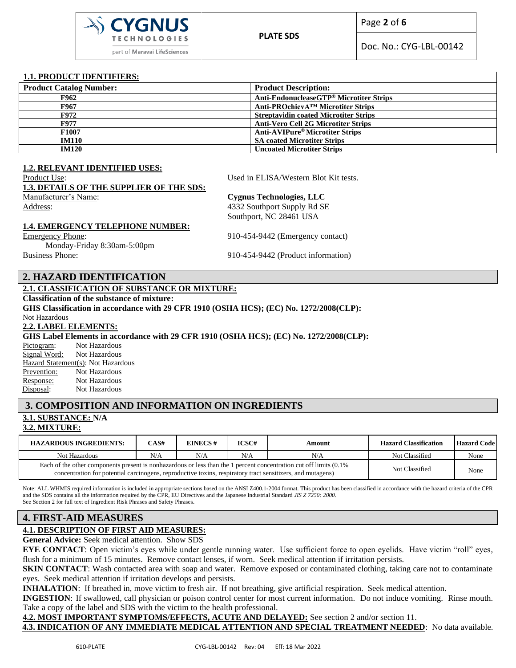

Page **2** of **6**

Doc. No.: CYG-LBL-00142

#### **1.1. PRODUCT IDENTIFIERS:**

| <b>Product Description:</b>                  |
|----------------------------------------------|
| Anti-EndonucleaseGTP® Microtiter Strips      |
| Anti-PROchievA™ Microtiter Strips            |
| <b>Streptavidin coated Microtiter Strips</b> |
| <b>Anti-Vero Cell 2G Microtiter Strips</b>   |
| Anti-AVIPure <sup>®</sup> Microtiter Strips  |
| <b>SA coated Microtiter Strips</b>           |
| <b>Uncoated Microtiter Strips</b>            |
|                                              |

#### **1.2. RELEVANT IDENTIFIED USES:**

Product Use: Used in ELISA/Western Blot Kit tests. **1.3. DETAILS OF THE SUPPLIER OF THE SDS:** Manufacturer's Name: **Cygnus Technologies, LLC** Address: 4332 Southport Supply Rd SE Southport, NC 28461 USA **1.4. EMERGENCY TELEPHONE NUMBER:**

Emergency Phone: 910-454-9442 (Emergency contact)

Monday-Friday 8:30am-5:00pm Business Phone: 910-454-9442 (Product information)

### **2. HAZARD IDENTIFICATION**

## **2.1. CLASSIFICATION OF SUBSTANCE OR MIXTURE:**

**Classification of the substance of mixture:**

**GHS Classification in accordance with 29 CFR 1910 (OSHA HCS); (EC) No. 1272/2008(CLP):**

Not Hazardous

#### **2.2. LABEL ELEMENTS:**

**GHS Label Elements in accordance with 29 CFR 1910 (OSHA HCS); (EC) No. 1272/2008(CLP):**

Pictogram: Not Hazardous Signal Word: Not Hazardous Hazard Statement(s): Not Hazardous Prevention: Not Hazardous Response: Not Hazardous Disposal: Not Hazardous

# **3. COMPOSITION AND INFORMATION ON INGREDIENTS**

# **3.1. SUBSTANCE: N/A**

#### **3.2. MIXTURE:**

| <b>HAZARDOUS INGREDIENTS:</b>                                                                                                                                                                                                     | CAS# | EINECS# | ICSC# | Amount         | <b>Hazard Classification</b> | <b>Hazard Code</b> |
|-----------------------------------------------------------------------------------------------------------------------------------------------------------------------------------------------------------------------------------|------|---------|-------|----------------|------------------------------|--------------------|
| Not Hazardous                                                                                                                                                                                                                     | N/A  | N/A     | N/A   | N/A            | Not Classified               | None               |
| Each of the other components present is nonhazardous or less than the 1 percent concentration cut off limits (0.1%)<br>concentration for potential carcinogens, reproductive toxins, respiratory tract sensitizers, and mutagens) |      |         |       | Not Classified | None                         |                    |

Note: ALL WHMIS required information is included in appropriate sections based on the ANSI Z400.1-2004 format. This product has been classified in accordance with the hazard criteria of the CPR and the SDS contains all the information required by the CPR, EU Directives and the Japanese Industrial Standard *JIS Z 7250: 2000*. See Section 2 for full text of Ingredient Risk Phrases and Safety Phrases.

### **4. FIRST-AID MEASURES**

## **4.1. DESCRIPTION OF FIRST AID MEASURES:**

**General Advice:** Seek medical attention. Show SDS

**EYE CONTACT**: Open victim's eyes while under gentle running water. Use sufficient force to open eyelids. Have victim "roll" eyes, flush for a minimum of 15 minutes. Remove contact lenses, if worn. Seek medical attention if irritation persists.

**SKIN CONTACT:** Wash contacted area with soap and water. Remove exposed or contaminated clothing, taking care not to contaminate eyes. Seek medical attention if irritation develops and persists.

**INHALATION**: If breathed in, move victim to fresh air. If not breathing, give artificial respiration. Seek medical attention.

**INGESTION**: If swallowed, call physician or poison control center for most current information. Do not induce vomiting. Rinse mouth. Take a copy of the label and SDS with the victim to the health professional.

**4.2. MOST IMPORTANT SYMPTOMS/EFFECTS, ACUTE AND DELAYED:** See section 2 and/or section 11.

**4.3. INDICATION OF ANY IMMEDIATE MEDICAL ATTENTION AND SPECIAL TREATMENT NEEDED**: No data available.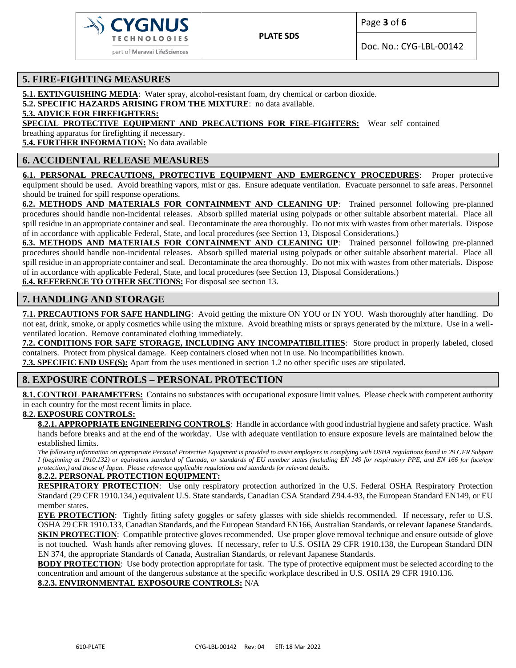

Doc. No.: CYG-LBL-00142

## **5. FIRE-FIGHTING MEASURES**

**5.1. EXTINGUISHING MEDIA**: Water spray, alcohol-resistant foam, dry chemical or carbon dioxide.

**5.2. SPECIFIC HAZARDS ARISING FROM THE MIXTURE**: no data available.

**5.3. ADVICE FOR FIREFIGHTERS:**

**SPECIAL PROTECTIVE EQUIPMENT AND PRECAUTIONS FOR FIRE-FIGHTERS:** Wear self contained

breathing apparatus for firefighting if necessary.

**5.4. FURTHER INFORMATION:** No data available

## **6. ACCIDENTAL RELEASE MEASURES**

**6.1. PERSONAL PRECAUTIONS, PROTECTIVE EQUIPMENT AND EMERGENCY PROCEDURES**: Proper protective

equipment should be used. Avoid breathing vapors, mist or gas. Ensure adequate ventilation. Evacuate personnel to safe areas. Personnel should be trained for spill response operations.

**6.2. METHODS AND MATERIALS FOR CONTAINMENT AND CLEANING UP**: Trained personnel following pre-planned procedures should handle non-incidental releases. Absorb spilled material using polypads or other suitable absorbent material. Place all spill residue in an appropriate container and seal. Decontaminate the area thoroughly. Do not mix with wastes from other materials. Dispose of in accordance with applicable Federal, State, and local procedures (see Section 13, Disposal Considerations.)

**6.3. METHODS AND MATERIALS FOR CONTAINMENT AND CLEANING UP**: Trained personnel following pre-planned procedures should handle non-incidental releases. Absorb spilled material using polypads or other suitable absorbent material. Place all spill residue in an appropriate container and seal. Decontaminate the area thoroughly. Do not mix with wastes from other materials. Dispose of in accordance with applicable Federal, State, and local procedures (see Section 13, Disposal Considerations.)

**6.4. REFERENCE TO OTHER SECTIONS:** For disposal see section 13.

## **7. HANDLING AND STORAGE**

**7.1. PRECAUTIONS FOR SAFE HANDLING**: Avoid getting the mixture ON YOU or IN YOU. Wash thoroughly after handling. Do not eat, drink, smoke, or apply cosmetics while using the mixture. Avoid breathing mists or sprays generated by the mixture. Use in a wellventilated location. Remove contaminated clothing immediately.

**7.2. CONDITIONS FOR SAFE STORAGE, INCLUDING ANY INCOMPATIBILITIES**: Store product in properly labeled, closed containers. Protect from physical damage. Keep containers closed when not in use. No incompatibilities known.

**7.3. SPECIFIC END USE(S):** Apart from the uses mentioned in section 1.2 no other specific uses are stipulated.

## **8. EXPOSURE CONTROLS – PERSONAL PROTECTION**

8.1. CONTROL PARAMETERS: Contains no substances with occupational exposure limit values. Please check with competent authority in each country for the most recent limits in place.

#### **8.2. EXPOSURE CONTROLS:**

**8.2.1. APPROPRIATE ENGINEERING CONTROLS**: Handle in accordance with good industrial hygiene and safety practice. Wash hands before breaks and at the end of the workday. Use with adequate ventilation to ensure exposure levels are maintained below the established limits.

*The following information on appropriate Personal Protective Equipment is provided to assist employers in complying with OSHA regulations found in 29 CFR Subpart I (beginning at 1910.132) or equivalent standard of Canada, or standards of EU member states (including EN 149 for respiratory PPE, and EN 166 for face/eye protection,) and those of Japan. Please reference applicable regulations and standards for relevant details.*

#### **8.2.2. PERSONAL PROTECTION EQUIPMENT:**

**RESPIRATORY PROTECTION**: Use only respiratory protection authorized in the U.S. Federal OSHA Respiratory Protection Standard (29 CFR 1910.134,) equivalent U.S. State standards, Canadian CSA Standard Z94.4-93, the European Standard EN149, or EU member states.

**EYE PROTECTION**: Tightly fitting safety goggles or safety glasses with side shields recommended. If necessary, refer to U.S. OSHA 29 CFR 1910.133, Canadian Standards, and the European Standard EN166, Australian Standards, or relevant Japanese Standards. **SKIN PROTECTION**: Compatible protective gloves recommended. Use proper glove removal technique and ensure outside of glove is not touched. Wash hands after removing gloves. If necessary, refer to U.S. OSHA 29 CFR 1910.138, the European Standard DIN EN 374, the appropriate Standards of Canada, Australian Standards, or relevant Japanese Standards.

**BODY PROTECTION:** Use body protection appropriate for task. The type of protective equipment must be selected according to the concentration and amount of the dangerous substance at the specific workplace described in U.S. OSHA 29 CFR 1910.136. **8.2.3. ENVIRONMENTAL EXPOSOURE CONTROLS:** N/A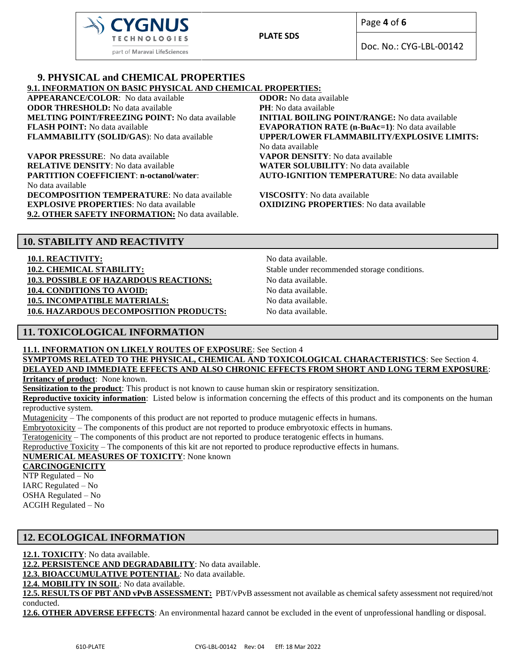

Page **4** of **6**

Doc. No.: CYG-LBL-00142

#### **9. PHYSICAL and CHEMICAL PROPERTIES 9.1. INFORMATION ON BASIC PHYSICAL AND CHEMICAL PROPERTIES:**

**APPEARANCE/COLOR**: No data available **ODOR:** No data available **ODOR THRESHOLD:** No data available **PH**: No data available **MELTING POINT/FREEZING POINT:** No data available **INITIAL BOILING POINT/RANGE:** No data available **FLASH POINT:** No data available **EVAPORATION RATE (n-BuAc=1)**: No data available **FLAMMABILITY (SOLID/GAS**): No data available **UPPER/LOWER FLAMMABILITY/EXPLOSIVE LIMITS:**

**VAPOR PRESSURE**: No data available **VAPOR DENSITY**: No data available **RELATIVE DENSITY**: No data available **WATER SOLUBILITY**: No data available **PARTITION COEFFICIENT**: **n-octanol/water**: No data available **DECOMPOSITION TEMPERATURE**: No data available **VISCOSITY**: No data available **EXPLOSIVE PROPERTIES**: No data available **OXIDIZING PROPERTIES**: No data available **9.2. OTHER SAFETY INFORMATION:** No data available.

No data available **AUTO-IGNITION TEMPERATURE**: No data available

## **10. STABILITY AND REACTIVITY**

**10.1. REACTIVITY:** No data available.

**10.2. CHEMICAL STABILITY:** Stable under recommended storage conditions. **10.3. POSSIBLE OF HAZARDOUS REACTIONS:** No data available. **10.4. CONDITIONS TO AVOID:** No data available. **10.5. INCOMPATIBLE MATERIALS:** No data available. **10.6. HAZARDOUS DECOMPOSITION PRODUCTS:** No data available.

## **11. TOXICOLOGICAL INFORMATION**

**11.1. INFORMATION ON LIKELY ROUTES OF EXPOSURE**: See Section 4

**SYMPTOMS RELATED TO THE PHYSICAL, CHEMICAL AND TOXICOLOGICAL CHARACTERISTICS**: See Section 4. **DELAYED AND IMMEDIATE EFFECTS AND ALSO CHRONIC EFFECTS FROM SHORT AND LONG TERM EXPOSURE**:

**Irritancy of product**: None known.

**Sensitization to the product**: This product is not known to cause human skin or respiratory sensitization.

**Reproductive toxicity information**: Listed below is information concerning the effects of this product and its components on the human reproductive system.

Mutagenicity – The components of this product are not reported to produce mutagenic effects in humans.

Embryotoxicity – The components of this product are not reported to produce embryotoxic effects in humans.

Teratogenicity – The components of this product are not reported to produce teratogenic effects in humans.

Reproductive Toxicity – The components of this kit are not reported to produce reproductive effects in humans.

## **NUMERICAL MEASURES OF TOXICITY**: None known

**CARCINOGENICITY**

NTP Regulated – No IARC Regulated – No OSHA Regulated – No ACGIH Regulated – No

## **12. ECOLOGICAL INFORMATION**

**12.1. TOXICITY**: No data available.

**12.2. PERSISTENCE AND DEGRADABILITY**: No data available.

**12.3. BIOACCUMULATIVE POTENTIAL**: No data available.

12.4. MOBILITY IN SOIL: No data available.

**12.5. RESULTS OF PBT AND vPvB ASSESSMENT:** PBT/vPvB assessment not available as chemical safety assessment not required/not conducted.

**12.6. OTHER ADVERSE EFFECTS**: An environmental hazard cannot be excluded in the event of unprofessional handling or disposal.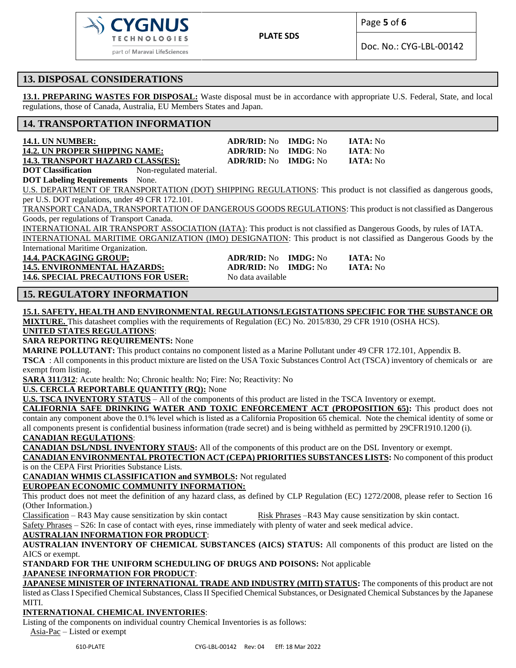

Page **5** of **6**

Doc. No.: CYG-LBL-00142

## **13. DISPOSAL CONSIDERATIONS**

**13.1. PREPARING WASTES FOR DISPOSAL:** Waste disposal must be in accordance with appropriate U.S. Federal, State, and local regulations, those of Canada, Australia, EU Members States and Japan.

## **14. TRANSPORTATION INFORMATION**

| <b>14.1. UN NUMBER:</b>                  |                         | $ADR/RID: No$ $IMDG: No$ | <b>IATA:</b> No  |
|------------------------------------------|-------------------------|--------------------------|------------------|
| 14.2. UN PROPER SHIPPING NAME:           |                         | $ADR/RID: No$ $IMDG: No$ | <b>IATA</b> : No |
| <b>14.3. TRANSPORT HAZARD CLASS(ES):</b> |                         | $ADR/RID: No$ $IMDG: No$ | <b>IATA:</b> No  |
| <b>DOT</b> Classification                | Non-regulated material. |                          |                  |

**DOT Labeling Requirements** None.

U.S. DEPARTMENT OF TRANSPORTATION (DOT) SHIPPING REGULATIONS: This product is not classified as dangerous goods, per U.S. DOT regulations, under 49 CFR 172.101.

TRANSPORT CANADA, TRANSPORTATION OF DANGEROUS GOODS REGULATIONS: This product is not classified as Dangerous Goods, per regulations of Transport Canada.

INTERNATIONAL AIR TRANSPORT ASSOCIATION (IATA): This product is not classified as Dangerous Goods, by rules of IATA.

INTERNATIONAL MARITIME ORGANIZATION (IMO) DESIGNATION: This product is not classified as Dangerous Goods by the International Maritime Organization.

**14.5. ENVIRONMENTAL HAZARDS: ADR/RID:** No **IMDG:** No **IATA:** No 14.6. SPECIAL PRECAUTIONS FOR USER: No data available

- **14.4. PACKAGING GROUP: ADR/RID:** No **IMDG:** No **IATA:** No
	-

## **15. REGULATORY INFORMATION**

#### **15.1. SAFETY, HEALTH AND ENVIRONMENTAL REGULATIONS/LEGISTATIONS SPECIFIC FOR THE SUBSTANCE OR**

**MIXTURE.** This datasheet complies with the requirements of Regulation (EC) No. 2015/830, 29 CFR 1910 (OSHA HCS). **UNITED STATES REGULATIONS**:

#### **SARA REPORTING REQUIREMENTS:** None

**MARINE POLLUTANT:** This product contains no component listed as a Marine Pollutant under 49 CFR 172.101, Appendix B.

**TSCA** : All components in this product mixture are listed on the USA Toxic Substances Control Act (TSCA) inventory of chemicals or are exempt from listing.

**SARA 311/312**: Acute health: No; Chronic health: No; Fire: No; Reactivity: No

**U.S. CERCLA REPORTABLE QUANTITY (RQ):** None

**U.S. TSCA INVENTORY STATUS** – All of the components of this product are listed in the TSCA Inventory or exempt.

**CALIFORNIA SAFE DRINKING WATER AND TOXIC ENFORCEMENT ACT (PROPOSITION 65):** This product does not contain any component above the 0.1% level which is listed as a California Proposition 65 chemical. Note the chemical identity of some or all components present is confidential business information (trade secret) and is being withheld as permitted by 29CFR1910.1200 (i). **CANADIAN REGULATIONS**:

**CANADIAN DSL/NDSL INVENTORY STAUS:** All of the components of this product are on the DSL Inventory or exempt.

**CANADIAN ENVIRONMENTAL PROTECTION ACT (CEPA) PRIORITIES SUBSTANCES LISTS:** No component of this product is on the CEPA First Priorities Substance Lists.

**CANADIAN WHMIS CLASSIFICATION and SYMBOLS:** Not regulated

## **EUROPEAN ECONOMIC COMMUNITY INFORMATION:**

This product does not meet the definition of any hazard class, as defined by CLP Regulation (EC) 1272/2008, please refer to Section 16 (Other Information.)

Classification – R43 May cause sensitization by skin contact Risk Phrases –R43 May cause sensitization by skin contact.

Safety Phrases – S26: In case of contact with eyes, rinse immediately with plenty of water and seek medical advice.

## **AUSTRALIAN INFORMATION FOR PRODUCT**:

**AUSTRALIAN INVENTORY OF CHEMICAL SUBSTANCES (AICS) STATUS:** All components of this product are listed on the AICS or exempt.

**STANDARD FOR THE UNIFORM SCHEDULING OF DRUGS AND POISONS:** Not applicable **JAPANESE INFORMATION FOR PRODUCT**:

**JAPANESE MINISTER OF INTERNATIONAL TRADE AND INDUSTRY (MITI) STATUS:** The components of this product are not listed as Class I Specified Chemical Substances, Class II Specified Chemical Substances, or Designated Chemical Substances by the Japanese MITI.

## **INTERNATIONAL CHEMICAL INVENTORIES**:

Listing of the components on individual country Chemical Inventories is as follows:

Asia-Pac – Listed or exempt